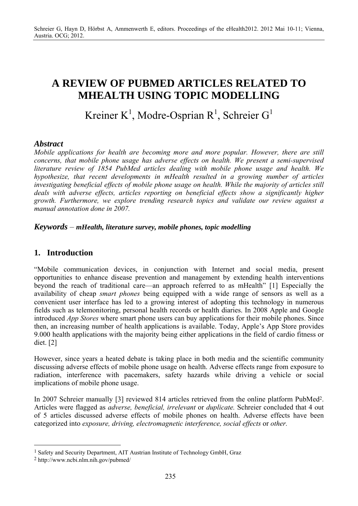# **A REVIEW OF PUBMED ARTICLES RELATED TO MHEALTH USING TOPIC MODELLING**

# Kreiner K<sup>1</sup>, Modre-Osprian R<sup>1</sup>, Schreier G<sup>1</sup>

### *Abstract*

*Mobile applications for health are becoming more and more popular. However, there are still concerns, that mobile phone usage has adverse effects on health. We present a semi-supervised literature review of 1854 PubMed articles dealing with mobile phone usage and health. We hypothesize, that recent developments in mHealth resulted in a growing number of articles investigating beneficial effects of mobile phone usage on health. While the majority of articles still deals with adverse effects, articles reporting on beneficial effects show a significantly higher growth. Furthermore, we explore trending research topics and validate our review against a manual annotation done in 2007.* 

#### *Keywords* – *mHealth, literature survey, mobile phones, topic modelling*

#### **1. Introduction**

"Mobile communication devices, in conjunction with Internet and social media, present opportunities to enhance disease prevention and management by extending health interventions beyond the reach of traditional care—an approach referred to as mHealth" [1] Especially the availability of cheap *smart phones* being equipped with a wide range of sensors as well as a convenient user interface has led to a growing interest of adopting this technology in numerous fields such as telemonitoring, personal health records or health diaries. In 2008 Apple and Google introduced *App Stores* where smart phone users can buy applications for their mobile phones. Since then, an increasing number of health applications is available. Today, Apple's App Store provides 9.000 health applications with the majority being either applications in the field of cardio fitness or diet. [2]

However, since years a heated debate is taking place in both media and the scientific community discussing adverse effects of mobile phone usage on health. Adverse effects range from exposure to radiation, interference with pacemakers, safety hazards while driving a vehicle or social implications of mobile phone usage.

In 2007 Schreier manually [3] reviewed 814 articles retrieved from the online platform PubMed2. Articles were flagged as *adverse, beneficial, irrelevant* or *duplicate.* Schreier concluded that 4 out of 5 articles discussed adverse effects of mobile phones on health. Adverse effects have been categorized into *exposure, driving, electromagnetic interference, social effects* or *other.* 

 $\overline{a}$ 

<sup>&</sup>lt;sup>1</sup> Safety and Security Department, AIT Austrian Institute of Technology GmbH, Graz

<sup>2</sup> http://www.ncbi.nlm.nih.gov/pubmed/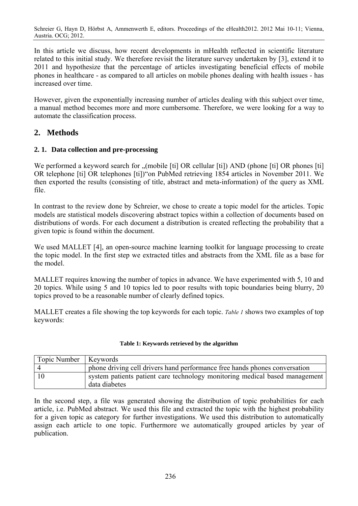In this article we discuss, how recent developments in mHealth reflected in scientific literature related to this initial study. We therefore revisit the literature survey undertaken by [3], extend it to 2011 and hypothesize that the percentage of articles investigating beneficial effects of mobile phones in healthcare - as compared to all articles on mobile phones dealing with health issues - has increased over time.

However, given the exponentially increasing number of articles dealing with this subject over time, a manual method becomes more and more cumbersome. Therefore, we were looking for a way to automate the classification process.

## **2. Methods**

#### **2. 1. Data collection and pre-processing**

We performed a keyword search for "(mobile [ti] OR cellular [ti]) AND (phone [ti] OR phones [ti] OR telephone [ti] OR telephones [ti])"on PubMed retrieving 1854 articles in November 2011. We then exported the results (consisting of title, abstract and meta-information) of the query as XML file.

In contrast to the review done by Schreier, we chose to create a topic model for the articles. Topic models are statistical models discovering abstract topics within a collection of documents based on distributions of words. For each document a distribution is created reflecting the probability that a given topic is found within the document.

We used MALLET [4], an open-source machine learning toolkit for language processing to create the topic model. In the first step we extracted titles and abstracts from the XML file as a base for the model.

MALLET requires knowing the number of topics in advance. We have experimented with 5, 10 and 20 topics. While using 5 and 10 topics led to poor results with topic boundaries being blurry, 20 topics proved to be a reasonable number of clearly defined topics.

MALLET creates a file showing the top keywords for each topic. *Table 1* shows two examples of top keywords:

#### **Table 1: Keywords retrieved by the algorithm**

| Topic Number   Keywords |                                                                                              |
|-------------------------|----------------------------------------------------------------------------------------------|
|                         | phone driving cell drivers hand performance free hands phones conversation                   |
| 10                      | system patients patient care technology monitoring medical based management<br>data diabetes |

In the second step, a file was generated showing the distribution of topic probabilities for each article, i.e. PubMed abstract. We used this file and extracted the topic with the highest probability for a given topic as category for further investigations. We used this distribution to automatically assign each article to one topic. Furthermore we automatically grouped articles by year of publication.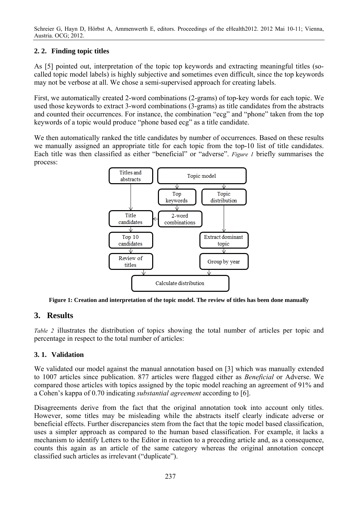Schreier G, Hayn D, Hörbst A, Ammenwerth E, editors. Proceedings of the eHealth2012. 2012 Mai 10-11; Vienna, Austria. OCG; 2012.

#### **2. 2. Finding topic titles**

As [5] pointed out, interpretation of the topic top keywords and extracting meaningful titles (socalled topic model labels) is highly subjective and sometimes even difficult, since the top keywords may not be verbose at all. We chose a semi-supervised approach for creating labels.

First, we automatically created 2-word combinations (2-grams) of top-key words for each topic. We used those keywords to extract 3-word combinations (3-grams) as title candidates from the abstracts and counted their occurrences. For instance, the combination "ecg" and "phone" taken from the top keywords of a topic would produce "phone based ecg" as a title candidate.

We then automatically ranked the title candidates by number of occurrences. Based on these results we manually assigned an appropriate title for each topic from the top-10 list of title candidates. Each title was then classified as either "beneficial" or "adverse". *Figure 1* briefly summarises the process:



**Figure 1: Creation and interpretation of the topic model. The review of titles has been done manually** 

#### **3. Results**

*Table 2* illustrates the distribution of topics showing the total number of articles per topic and percentage in respect to the total number of articles:

#### **3. 1. Validation**

We validated our model against the manual annotation based on [3] which was manually extended to 1007 articles since publication. 877 articles were flagged either as *Beneficial* or Adverse. We compared those articles with topics assigned by the topic model reaching an agreement of 91% and a Cohen's kappa of 0.70 indicating *substantial agreement* according to [6].

Disagreements derive from the fact that the original annotation took into account only titles. However, some titles may be misleading while the abstracts itself clearly indicate adverse or beneficial effects. Further discrepancies stem from the fact that the topic model based classification, uses a simpler approach as compared to the human based classification. For example, it lacks a mechanism to identify Letters to the Editor in reaction to a preceding article and, as a consequence, counts this again as an article of the same category whereas the original annotation concept classified such articles as irrelevant ("duplicate").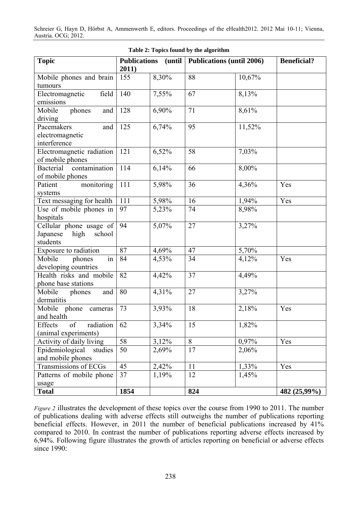Schreier G, Hayn D, Hörbst A, Ammenwerth E, editors. Proceedings of the eHealth2012. 2012 Mai 10-11; Vienna, Austria. OCG; 2012.

| Table 2: Topics found by the algorithm                            |                              |       |                                    |                |                    |  |  |
|-------------------------------------------------------------------|------------------------------|-------|------------------------------------|----------------|--------------------|--|--|
| <b>Topic</b>                                                      | <b>Publications</b><br>2011) |       | (until   Publications (until 2006) |                | <b>Beneficial?</b> |  |  |
| Mobile phones and brain<br>tumours                                | 155                          | 8,30% | 88                                 | 10,67%         |                    |  |  |
| field<br>Electromagnetic<br>emissions                             | 140                          | 7,55% | 67                                 | 8,13%          |                    |  |  |
| phones<br>Mobile<br>and<br>driving                                | 128                          | 6,90% | 71                                 | 8,61%          |                    |  |  |
| Pacemakers<br>and<br>electromagnetic<br>interference              | 125                          | 6,74% | 95                                 | 11,52%         |                    |  |  |
| Electromagnetic radiation<br>of mobile phones                     | 121                          | 6,52% | 58                                 | 7,03%          |                    |  |  |
| <b>Bacterial</b><br>contamination<br>of mobile phones             | 114                          | 6,14% | 66                                 | 8,00%          |                    |  |  |
| monitoring<br>Patient<br>systems                                  | 111                          | 5,98% | 36                                 | 4,36%          | Yes                |  |  |
| Text messaging for health                                         | 111                          | 5,98% | 16                                 | 1,94%          | Yes                |  |  |
| Use of mobile phones in<br>hospitals                              | 97                           | 5,23% | 74                                 | 8,98%          |                    |  |  |
| Cellular phone usage of<br>Japanese<br>high<br>school<br>students | 94                           | 5,07% | 27                                 | 3,27%          |                    |  |  |
| Exposure to radiation                                             | 87                           | 4,69% | 47                                 | 5,70%          |                    |  |  |
| Mobile<br>phones<br>in<br>developing countries                    | 84                           | 4,53% | 34                                 | 4,12%          | Yes                |  |  |
| Health risks and mobile<br>phone base stations                    | 82                           | 4,42% | 37                                 | 4,49%          |                    |  |  |
| Mobile<br>phones<br>and<br>dermatitis                             | 80                           | 4,31% | 27                                 | 3,27%          |                    |  |  |
| Mobile phone<br>cameras<br>and health                             | 73                           | 3,93% | 18                                 | 2,18%          | Yes                |  |  |
| of<br>radiation<br>Effects<br>(animal experiments)                | 62                           | 3,34% | 15                                 | 1,82%          |                    |  |  |
| Activity of daily living                                          | 58                           | 3,12% | 8                                  | 0,97%          | Yes                |  |  |
| Epidemiological<br>studies<br>and mobile phones                   | 50                           | 2,69% | 17                                 | $2,06\sqrt{0}$ |                    |  |  |
| Transmissions of ECGs                                             | 45                           | 2,42% | 11                                 | 1,33%          | Yes                |  |  |
| Patterns of mobile phone<br>usage                                 | 37                           | 1,19% | 12                                 | 1,45%          |                    |  |  |
| <b>Total</b>                                                      | 1854                         |       | 824                                |                | 482 (25,99%)       |  |  |

*Figure 2* illustrates the development of these topics over the course from 1990 to 2011. The number of publications dealing with adverse effects still outweighs the number of publications reporting beneficial effects. However, in 2011 the number of beneficial publications increased by 41% compared to 2010. In contrast the number of publications reporting adverse effects increased by 6,94%. Following figure illustrates the growth of articles reporting on beneficial or adverse effects since 1990: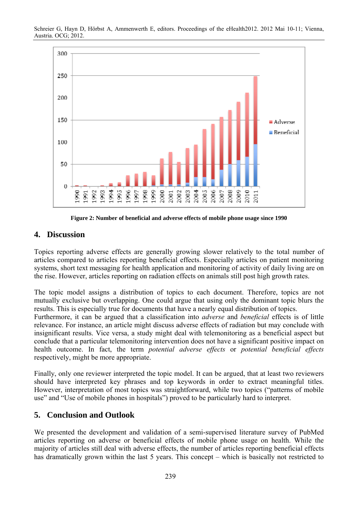



**Figure 2: Number of beneficial and adverse effects of mobile phone usage since 1990** 

#### **4. Discussion**

Topics reporting adverse effects are generally growing slower relatively to the total number of articles compared to articles reporting beneficial effects. Especially articles on patient monitoring systems, short text messaging for health application and monitoring of activity of daily living are on the rise. However, articles reporting on radiation effects on animals still post high growth rates.

The topic model assigns a distribution of topics to each document. Therefore, topics are not mutually exclusive but overlapping. One could argue that using only the dominant topic blurs the results. This is especially true for documents that have a nearly equal distribution of topics.

Furthermore, it can be argued that a classification into *adverse* and *beneficial* effects is of little relevance. For instance, an article might discuss adverse effects of radiation but may conclude with insignificant results. Vice versa, a study might deal with telemonitoring as a beneficial aspect but conclude that a particular telemonitoring intervention does not have a significant positive impact on health outcome. In fact, the term *potential adverse effects* or *potential beneficial effects*  respectively, might be more appropriate.

Finally, only one reviewer interpreted the topic model. It can be argued, that at least two reviewers should have interpreted key phrases and top keywords in order to extract meaningful titles. However, interpretation of most topics was straightforward, while two topics ("patterns of mobile use" and "Use of mobile phones in hospitals") proved to be particularly hard to interpret.

#### **5. Conclusion and Outlook**

We presented the development and validation of a semi-supervised literature survey of PubMed articles reporting on adverse or beneficial effects of mobile phone usage on health. While the majority of articles still deal with adverse effects, the number of articles reporting beneficial effects has dramatically grown within the last 5 years. This concept – which is basically not restricted to